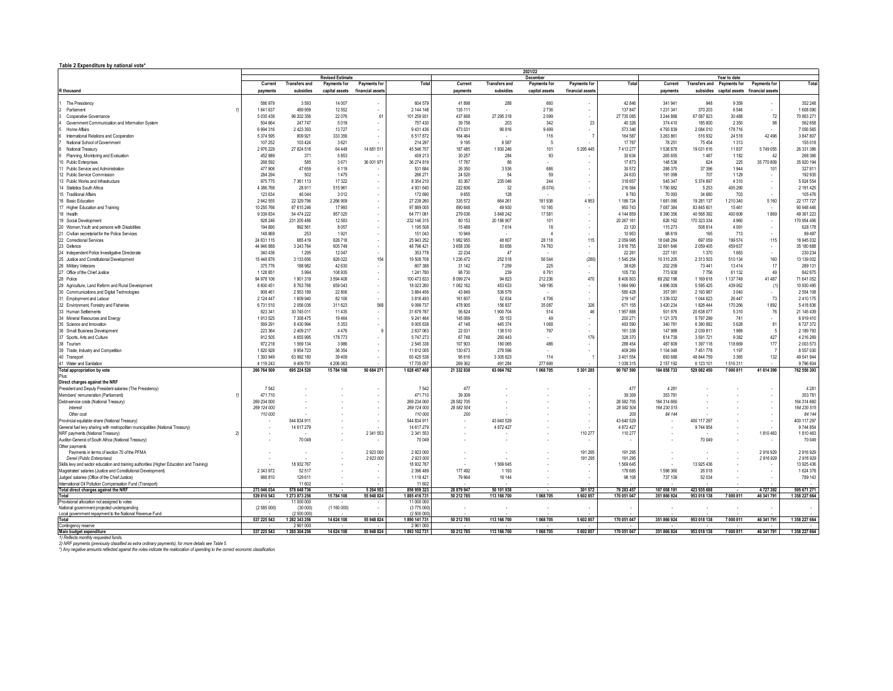## **Table 2 Expenditure by national vote\***

|                                                                                           | 2021/22<br><b>Revised Estimate</b><br>December<br>Year to date |                             |                    |                                 |                            |                    |                      |                      |                          |                    |                      |                       |                                           |                          |                        |
|-------------------------------------------------------------------------------------------|----------------------------------------------------------------|-----------------------------|--------------------|---------------------------------|----------------------------|--------------------|----------------------|----------------------|--------------------------|--------------------|----------------------|-----------------------|-------------------------------------------|--------------------------|------------------------|
|                                                                                           | Current                                                        | <b>Transfers and</b>        | Payments for       | Payments for                    | Total                      | Current            | <b>Transfers and</b> | Payments for         | Payments for             | Total              | Current              |                       | Transfers and Payments for                | Payments for             | Total                  |
| R thousand                                                                                | payments                                                       | subsidies                   |                    | capital assets financial assets |                            | payments           | subsidies            | capital assets       | financial assets         |                    | payments             |                       | subsidies capital assets financial assets |                          |                        |
|                                                                                           |                                                                |                             |                    |                                 |                            |                    |                      |                      |                          |                    |                      |                       |                                           |                          |                        |
| The Presidency                                                                            | 586 979                                                        | 3 5 9 3                     | 14 007             |                                 | 604 579                    | 41898              | 288                  | 660                  |                          | 42 846             | 341 941              | 948                   | 9 3 5 9                                   |                          | 352 248                |
| Parliament<br>11                                                                          | 1 641 637                                                      | 489 959                     | 12.552             | $\sim$                          | 2 144 148                  | 135 111            | ٠.                   | 2736                 | $\sim$                   | 137847             | 1 231 341            | 370 203               | 6.546                                     | $\overline{\phantom{a}}$ | 1 608 090              |
| Cooperative Governance                                                                    | 5 035 438                                                      | 96 202 356                  | 22 076             | 61                              | 101 259 931                | 437 668            | 27 295 318           | 2099                 | i.                       | 27 735 085         | 3 244 888            | 67 587 823            | 30 4 88                                   | 72                       | 70 863 271             |
| Government Communication and Information System                                           | 504 664                                                        | 247 747                     | 5019               |                                 | 757 430                    | 39 758             | 203                  | 342                  | 23                       | 40 326             | 374 410              | 185 800               | 2 3 5 0                                   | 98                       | 562 658                |
| Home Affairs<br>International Relations and Cooperation                                   | 6 9 9 4 3 1 6<br>5 374 595                                     | 2 4 2 3 3 9 3<br>809 921    | 13727<br>333 356   | $\sim$                          | 9 431 436<br>6517872       | 473 031<br>164 464 | 90 816               | 9499<br>116          | $\overline{7}$           | 573 346<br>164 587 | 4793839<br>3 263 861 | 2 084 010<br>516 932  | 178 716<br>24 5 18                        | 42 4 96                  | 7 056 565<br>3 847 807 |
| National School of Government                                                             | 107 252                                                        | 103 424                     | 3621               | $\sim$                          | 214 297                    | 9 1 9 5            | 8587                 | $5\overline{5}$      |                          | 17787              | 78 251               | 75 4 54               | 1313                                      |                          | 155 018                |
| National Treasury                                                                         | 2976229                                                        | 27 824 518                  | 64 449             | 14 681 511                      | 45 546 707                 | 187 485            | 1930 246             | 101                  | 5 295 445                | 7 413 277          | 1538878              | 19 031 616            | 11837                                     | 5749055                  | 26 331 386             |
| Planning, Monitoring and Evaluation                                                       | 452 989                                                        | 371                         | 5853               |                                 | 459 213                    | 30 257             | 284                  | 93                   |                          | 30 634             | 265 655              | 1487                  | 1 1 8 2                                   | 42                       | 268 366                |
| 10 Public Enterprises                                                                     | 268 592                                                        | 585                         | 3671               | 36 001 971                      | 36 274 819                 | 17787              | 86                   |                      |                          | 17873              | 148 536              | 624                   | 225                                       | 35 770 809               | 35 920 194             |
| 11 Public Service and Administration                                                      | 477 906                                                        | 47 659                      | 6 1 1 9            |                                 | 531 684                    | 26 350             | 3536                 | 686                  |                          | 30 572             | 288 370              | 37 39 6               | 1944                                      | 101                      | 327 81                 |
| 12 Public Service Commission                                                              | 284 294                                                        | 502                         | 1475               | $\sim$                          | 286 271                    | 24 5 20            | 54                   | 59                   |                          | 24 633             | 191 099              | 707                   | 1 1 2 9                                   |                          | 192 93                 |
| 13 Public Works and Infrastructure                                                        | 975 775                                                        | 7 3 61 11 3                 | 17 322             | $\sim$                          | 8 3 5 4 2 1 0              | 83 367             | 235 046              | 244                  | $\overline{\phantom{a}}$ | 318 657            | 545 347              | 5 374 897             | 4310                                      | $\overline{\phantom{a}}$ | 5 9 24 5 54            |
| 14 Statistics South Africa                                                                | 4 386 768                                                      | 28 911                      | 515 961            | $\sim$                          | 4 9 31 6 40                | 222 606            | 32                   | (6074)               | $\sim$                   | 216 564            | 1780 882             | 5 2 5 3               | 405 290                                   | $\epsilon$               | 2 191 425              |
| 15 Traditional Affairs                                                                    | 123 634                                                        | 46 044                      | 3012               | $\sim$                          | 172 690                    | 9655               | 128                  |                      |                          | 9783               | 70 093               | 34 680                | 703                                       | ×.                       | 105 476                |
| 16 Basic Education                                                                        | 2642555                                                        | 22 329 796                  | 2 266 909          | $\sim$                          | 27 239 260                 | 335 572            | 664 261              | 181 938              | 4953                     | 1 186 724          | 1681090              | 19 281 137            | 1 210 340                                 | 5 1 6 0                  | 22 177 727             |
| 17 Higher Education and Training                                                          | 10 255 766                                                     | 87 615 246                  | 17993              | $\overline{\phantom{a}}$        | 97 889 005                 | 890 648            | 49 930               | 10 165               |                          | 950 743            | 7 087 384            | 83 845 601            | 15461                                     |                          | 90 948 446             |
| 18 Health                                                                                 | 9 339 834                                                      | 54 474 222                  | 957 025            | $\overline{\phantom{a}}$        | 64 771 081                 | 279 036            | 3 848 242            | 17581                | $\sim$                   | 4 144 859          | 8 390 356            | 40 568 392            | 400 606                                   | 1869                     | 49 361 223             |
| 19 Social Development                                                                     | 928 246                                                        | 231 205 486                 | 12 5 83            | $\overline{\phantom{a}}$        | 232 146 315                | 80 153             | 20 186 907           | 101                  | $\sim$                   | 20 267 161         | 626 162              | 170 323 334           | 4 9 6 0                                   | $\cdot$                  | 170 954 456            |
| 20 Women. Youth and persons with Disabilities                                             | 194 890                                                        | 992 561                     | 8 0 5 7            | $\sim$                          | 1 195 508                  | 15488              | 7614                 | 18                   | $\sim$                   | 23 120             | 115 273              | 508 814               | 4 0 9 1                                   | $\cdot$                  | 628 178                |
| 21 Civilian secretariat for the Police Services                                           | 148 869                                                        | 253                         | 1921               | $\sim$                          | 151 043                    | 10 949             |                      | $\Delta$             |                          | 10 953             | 98 619               | 165                   | 713                                       |                          | 99 497                 |
| 22 Correctional Services                                                                  | 24 631 115                                                     | 685 419                     | 626 718            | $\sim$                          | 25 943 252                 | 1982955            | 48 807               | 28 118               | 115                      | 2 059 995          | 18 048 284           | 697 059               | 199 574                                   | 115                      | 18 945 032             |
| 23 Defence                                                                                | 44 946 888                                                     | 3 243 784                   | 605 749            |                                 | 48 796 421                 | 3658336            | 83 656               | 74 763               | $\overline{\phantom{a}}$ | 3 816 755          | 32 661 646           | 2 059 405             | 459 637                                   | $\cdot$                  | 35 180 688             |
| 24 Independent Police Investigative Directorate                                           | 340 436                                                        | 1 2 9 5                     | 12 047             |                                 | 353 778                    | 22 2 34            | 47                   |                      |                          | 22 281             | 227 181              | 1370                  | 1683                                      | $\overline{\phantom{a}}$ | 230 234                |
| 25 Justice and Constitutional Development                                                 | 15 448 876                                                     | 3 133 656                   | 926 022            | 154                             | 19 508 708                 | 1 236 472          | 252 518              | 56 544               | (280)                    | 1545 254           | 10 315 205           | 2 3 1 3 5 0 3         | 510 134                                   | 160                      | 13 139 002             |
| 26 Military Veterans                                                                      | 375 776                                                        | 188 982                     | 42 630             |                                 | 607 388                    | 31 142             | 7 2 5 9              | 225                  | $\sim$                   | 38 626             | 202 259              | 73 441                | 13414                                     | 17                       | 289 13                 |
| 27 Office of the Chief Justice                                                            | 1 128 851                                                      | 3 9 9 4                     | 108 935            | $\sim$                          | 1 241 780                  | 98 730             | 239                  | 6761                 | $\mathbf{r}$             | 105 730            | 773 938              | 7756                  | 61 132                                    | 49                       | 842 875                |
| 28 Police                                                                                 | 94 978 106                                                     | 1901319                     | 3 594 408          | $\sim$                          | 100 473 833                | 8 0 9 274          | 94 823               | 212 236              | 470                      | 8 406 803          | 69 29 2 19 8         | 1 169 618             | 1 137 749                                 | 41 487                   | 71 641 052             |
| 29 Agriculture, Land Reform and Rural Development                                         | 8 600 451                                                      | 8763766                     | 659 043            | $\sim$                          | 18 023 260                 | 1 062 162          | 453 633              | 149 195              | $\sim$                   | 1664990            | 4 896 009            | 5 5 9 5 4 2 5         | 439 062                                   | (1)                      | 10 930 495             |
| 30 Communications and Digital Technologies                                                | 908 461                                                        | 2953189                     | 22 806             |                                 | 3 884 456                  | 43 849             | 536 579              |                      |                          | 580 428            | 357 081              | 2 193 987             | 3 0 4 0                                   | $\mathbf{r}$             | 2 5 5 4 1 0 8          |
| 31 Employment and Labour                                                                  | 2 124 447                                                      | 1609940                     | 82 106             |                                 | 3816493                    | 161 607            | 52 834               | 4706                 |                          | 219 147            | 1 339 032            | 1 044 623             | 26 447                                    | 73                       | 2 410 175              |
| 32 Environment, Forestry and Fisheries                                                    | 6731510                                                        | 2056036                     | 311 623            | 568                             | 9 0 9 7 3 7                | 478 905            | 156 837              | 35 087               | 326<br>46                | 671 155            | 3 4 2 0 2 3 4        | 1826 444              | 170 266                                   | 1892                     | 5418836                |
| 33 Human Settlements<br>34 Mineral Resources and Energy                                   | 923 341<br>1913525                                             | 30 745 011<br>7 308 475     | 11 4 35<br>19 4 64 |                                 | 31 679 787<br>9 241 464    | 56 624<br>145 069  | 1 900 704<br>55 153  | 514<br>49            |                          | 1957888<br>200 271 | 501 976<br>1 121 370 | 20 638 077<br>5797299 | 5310<br>741                               | 76                       | 21 145 439<br>6919410  |
| 35 Science and Innovation                                                                 | 569 291                                                        | 8 4 3 0 9 9 4               | 5 3 5 3            |                                 | 9 0 0 5 6 3 8              | 47 148             | 445 374              | 1068                 |                          | 493 590            | 340 781              | 6 380 882             | 5628                                      | 81                       | 6727372                |
| 36 Small Business Development                                                             | 223 364                                                        | 2 4 0 9 2 1 7               | 4476               |                                 | 2 637 063                  | 22 031             | 138 510              | 797                  |                          | 161 338            | 147 988              | 2 039 811             | 1989                                      | -5                       | 2 189 793              |
| 37 Sports, Arts and Culture                                                               | 912 505                                                        | 4655995                     | 178 773            |                                 | 5747273                    | 67748              | 260 443              |                      | 179                      | 328 370            | 614 739              | 3 591 721             | 9 3 8 2                                   | 427                      | 4 216 269              |
| 38 Tourism                                                                                | 972 218                                                        | 1569 134                    | 3 9 8 6            |                                 | 2 545 338                  | 107 903            | 180 065              | 486                  |                          | 288 454            | 487 609              | 1 397 118             | 118 669                                   | 177                      | 2 003 573              |
| 39 Trade, Industry and Competition                                                        | 1820928                                                        | 9 9 5 4 7 2 3               | 36 354             | $\overline{\phantom{a}}$        | 11 812 005                 | 130 673            | 278 596              |                      | $\sim$                   | 409 269            | 1 104 048            | 7451778               | 1 1 9 7                                   |                          | 8 5 5 7 0 3 0          |
| 40 Transport                                                                              | 1 393 949                                                      | 63 992 180                  | 39 409             | $\overline{\phantom{a}}$        | 65 425 538                 | 95 616             | 3 3 0 5 8 2 3        | 114                  |                          | 3 401 554          | 693 688              | 48 844 759            | 3 3 6 5                                   | 132                      | 49 541 944             |
| 41 Water and Sanitation                                                                   | 4 119 243                                                      | 9 4 0 9 7 5 1               | 4 206 063          |                                 | 17 735 057                 | 269 362            | 491 284              | 277 669              |                          | 1038315            | 2 157 192            | 6 123 101             | 1516311                                   |                          | 9796604                |
| Total appropriation by vote                                                               | 266 764 509                                                    | 695 224 520                 | 15 784 108         | 50 684 271                      | 1 028 457 408              | 21 332 838         | 63 064 762           | 1068705              | 5 301 285                | 90 767 590         | 184 858 733          | 529 082 450           | 7 000 811                                 | 41 614 399               | 762 556 393            |
| Plus:                                                                                     |                                                                |                             |                    |                                 |                            |                    |                      |                      |                          |                    |                      |                       |                                           |                          |                        |
| Direct charges against the NRF                                                            |                                                                |                             |                    |                                 |                            |                    |                      |                      |                          |                    |                      |                       |                                           |                          |                        |
| President and Deputy President salaries (The Presidency)                                  | 7542                                                           |                             |                    |                                 | 7542                       | 477                |                      |                      | $\mathbf{r}$             | 477                | 4 2 8 1              |                       |                                           |                          | 4 28                   |
| Members' remuneration (Parliament)                                                        | 471710                                                         |                             |                    |                                 | 471710                     | 39 30 9            |                      |                      | $\sim$                   | 39 30 9            | 353 781              |                       |                                           | ٠.                       | 353 78                 |
| Debt-service costs (National Treasury)                                                    | 269 234 000                                                    |                             |                    | $\sim$                          | 269 234 000                | 28 582 705         |                      |                      | $\sim$                   | 28 582 705         | 164 314 660          |                       |                                           | $\mathbf{r}$             | 164 314 660            |
| Interest                                                                                  | 269 124 000                                                    |                             |                    | $\sim$                          | 269 124 000                | 28 582 504         |                      |                      | $\sim$                   | 28 582 504         | 164 230 515          |                       |                                           |                          | 164 230 515            |
| Other cost                                                                                | 110 000                                                        |                             |                    |                                 | 110 000                    | 200                |                      |                      |                          | 200                | 84 144               |                       |                                           |                          | 84 144                 |
| Provincial equitable share (National Treasury)                                            |                                                                | 544 834 911                 |                    | $\overline{\phantom{a}}$        | 544 834 911                |                    | 43 640 529           |                      | $\overline{\phantom{a}}$ | 43 640 529         |                      | 400 117 297           |                                           |                          | 400 117 297            |
| General fuel levy sharing with metropolitan municipalities (National Treasury)            |                                                                | 14 617 279                  |                    |                                 | 14 617 279                 |                    | 4 872 427            |                      |                          | 4 872 427          |                      | 9 744 854             |                                           |                          | 9744854                |
| NRF payments (National Treasury)<br>21                                                    |                                                                |                             |                    | 2 341 553                       | 2 341 553                  |                    |                      |                      | 110 277                  | 110 277            |                      |                       |                                           | 1810463                  | 1810463                |
| Auditor-General of South Africa (National Treasury)                                       |                                                                | 70 049                      |                    |                                 | 70 049                     |                    |                      |                      |                          |                    |                      | 70 049                |                                           |                          | 70 049                 |
| Other payments<br>Payments in terms of section 70 of the PFMA                             |                                                                |                             |                    | 2 923 000                       | 2 923 000                  |                    |                      |                      | 191 295                  | 191 295            |                      |                       |                                           | 2916929                  | 2916929                |
| Denel (Public Enterprises)                                                                |                                                                |                             |                    | 2 923 000                       | 2 923 000                  | . .                |                      |                      | 191 295                  | 191 295            |                      |                       |                                           | 2916929                  | 2916929                |
| Skills levy and sector education and training authorities (Higher Education and Training) |                                                                | 18 932 767                  |                    |                                 | 18 932 767                 |                    | 1569645              |                      |                          | 1569645            | . .                  | 13 925 436            |                                           |                          | 13 925 436             |
| Magistrates' salaries (Justice and Constitutional Development)                            | 2 343 972                                                      | 52 517                      |                    | $\sim$                          | 2 396 489                  | 177 492            | 1 1 9 3              |                      | $\overline{\phantom{a}}$ | 178 685            | 1 598 360            | 26 018                |                                           |                          | 1624378                |
| Judges' salaries (Office of the Chief Justice)                                            | 988 810                                                        | 129 611                     |                    |                                 | 1 118 421                  | 79 964             | 18 14 4              |                      |                          | 98 108             | 737 109              | 52 034                |                                           |                          | 789 143                |
| International Oil Pollution Compensation Fund (Transport)                                 |                                                                | 11 602                      |                    |                                 | 11 602                     |                    |                      |                      |                          |                    |                      |                       |                                           |                          |                        |
| Total direct charges against the NRF                                                      | 273 046 034                                                    | 578 648 736                 |                    | 5 264 553                       | 856 959 323                | 28 879 947         | 50 101 938           | $\ddot{\phantom{a}}$ | 301 572                  | 79 283 457         | 167 008 191          | 423 935 688           |                                           | 4727392                  | 595 671 271            |
| Total                                                                                     | 539 810 543                                                    | 1 273 873 256               | 15 784 108         | 55 948 824                      | 1885 416 731               | 50 212 785         | 113 166 700          | 1 068 705            | 5 602 857                | 170 051 047        | 351 866 924          | 953 018 138           | 7 000 811                                 | 46 341 791               | 1 358 227 664          |
| Provisional allocation not assigned to votes                                              |                                                                | 11 000 000                  |                    |                                 | 11 000 000                 |                    |                      |                      |                          |                    |                      |                       |                                           |                          |                        |
| National government projected underspending                                               | (2585000)                                                      | (30000)                     | (1160000)          | $\sim$                          | (3775 000                  |                    |                      |                      | $\sim$                   |                    |                      |                       |                                           |                          |                        |
| Local government repayment to the National Revenue Fund<br>Total                          | 537 225 543                                                    | (2 500 000<br>1 282 343 256 | 14 624 108         | 55 948 824                      | (2 500 000<br>1890 141 731 | 50 212 785         | 113 166 700          | 1068705              | 5 602 857                | 170 051 047        | 351 866 924          | 953 018 138           | 7 000 811                                 | 46 341 791               | 1 358 227 664          |
| Contingency reserve                                                                       |                                                                | 2961000                     |                    |                                 | 2 961 000                  |                    |                      |                      |                          |                    |                      |                       |                                           |                          |                        |
| Main budget expenditure                                                                   | 537 225 543                                                    | 1 285 304 256               | 14 624 108         | 55 948 824                      | 1893 102 731               | 50 212 785         | 113 166 700          | 1068705              | 5 602 857                | 170 051 047        | 351 866 924          | 953 018 138           | 7 000 811                                 | 46 341 791               | 1 358 227 664          |
| Reflects monthly requested funds                                                          |                                                                |                             |                    |                                 |                            |                    |                      |                      |                          |                    |                      |                       |                                           |                          |                        |

1) Reflects monthly requested funds.<br>2) NRF payments (previously classified as extra ordinary payments), for more details see Table 5.<br>\*) Any negative amounts reflected against the votes indicate the reallocation of spendi